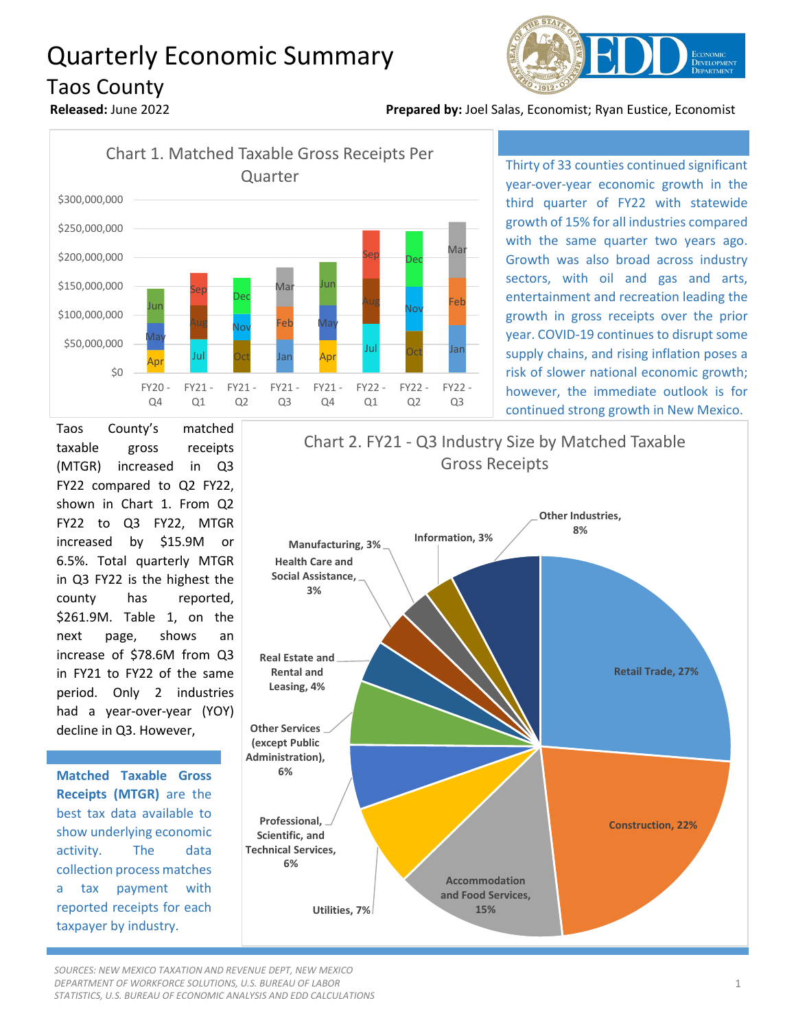## Quarterly Economic Summary Taos County







Thirty of 33 counties continued significant year-over-year economic growth in the third quarter of FY22 with statewide growth of 15% for all industries compared with the same quarter two years ago. Growth was also broad across industry sectors, with oil and gas and arts, entertainment and recreation leading the growth in gross receipts over the prior year. COVID-19 continues to disrupt some supply chains, and rising inflation poses a risk of slower national economic growth; however, the immediate outlook is for continued strong growth in New Mexico.

Taos County's matched taxable gross receipts (MTGR) increased in Q3 FY22 compared to Q2 FY22, shown in Chart 1. From Q2 FY22 to Q3 FY22, MTGR increased by \$15.9M or 6.5%. Total quarterly MTGR in Q3 FY22 is the highest the county has reported, \$261.9M. Table 1, on the next page, shows an increase of \$78.6M from Q3 in FY21 to FY22 of the same period. Only 2 industries had a year-over-year (YOY) decline in Q3. However,

**Matched Taxable Gross Receipts (MTGR)** are the best tax data available to show underlying economic activity. The data collection process matches a tax payment with reported receipts for each taxpayer by industry.



*SOURCES: NEW MEXICO TAXATION AND REVENUE DEPT, NEW MEXICO DEPARTMENT OF WORKFORCE SOLUTIONS, U.S. BUREAU OF LABOR STATISTICS, U.S. BUREAU OF ECONOMIC ANALYSIS AND EDD CALCULATIONS*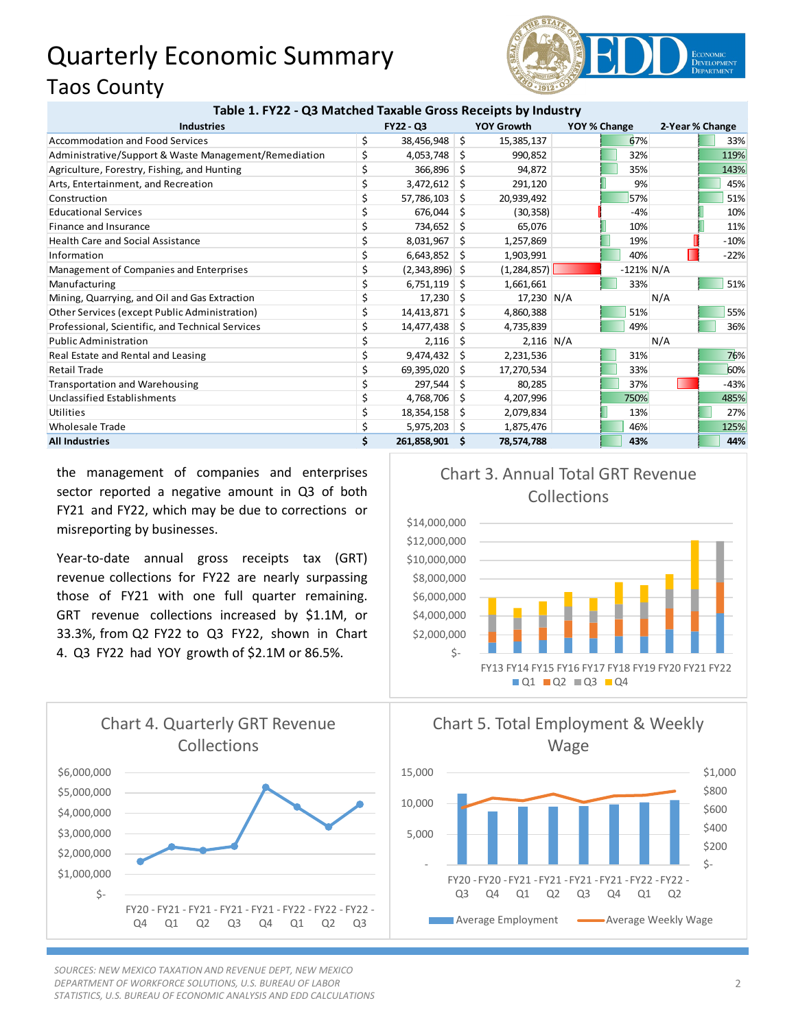## Quarterly Economic Summary Taos County



## **Table 1. FY22 - Q3 Matched Taxable Gross Receipts by Industry**

| <b>Industries</b>                                     | <b>FY22 - Q3</b>       |     | YOY Growth    | YOY % Change |              | 2-Year % Change |      |        |
|-------------------------------------------------------|------------------------|-----|---------------|--------------|--------------|-----------------|------|--------|
| Accommodation and Food Services                       | \$<br>38,456,948       | \$  | 15,385,137    |              | 67%          |                 |      | 33%    |
| Administrative/Support & Waste Management/Remediation | \$<br>4,053,748        | Ŝ.  | 990,852       |              | 32%          |                 | 119% |        |
| Agriculture, Forestry, Fishing, and Hunting           | \$<br>366,896          | S.  | 94,872        |              | 35%          |                 | 143% |        |
| Arts, Entertainment, and Recreation                   | \$<br>3,472,612        | Ŝ.  | 291,120       |              | 9%           |                 |      | 45%    |
| Construction                                          | 57,786,103             | S.  | 20,939,492    |              | 57%          |                 |      | 51%    |
| <b>Educational Services</b>                           | 676,044                | S   | (30, 358)     |              | $-4%$        |                 |      | 10%    |
| Finance and Insurance                                 | \$<br>734,652          | Ŝ.  | 65,076        |              | 10%          |                 |      | 11%    |
| <b>Health Care and Social Assistance</b>              | \$<br>8,031,967        | -S  | 1,257,869     |              | 19%          |                 |      | $-10%$ |
| Information                                           | \$<br>6,643,852        | -\$ | 1,903,991     |              | 40%          |                 |      | $-22%$ |
| Management of Companies and Enterprises               | \$<br>$(2,343,896)$ \$ |     | (1, 284, 857) |              | $-121\%$ N/A |                 |      |        |
| Manufacturing                                         | $6,751,119$ \$         |     | 1,661,661     |              | 33%          |                 |      | 51%    |
| Mining, Quarrying, and Oil and Gas Extraction         | 17,230                 | -S  | 17,230 N/A    |              |              | N/A             |      |        |
| Other Services (except Public Administration)         | \$<br>14,413,871       | -S  | 4,860,388     |              | 51%          |                 |      | 55%    |
| Professional, Scientific, and Technical Services      | \$<br>14,477,438       | S.  | 4,735,839     |              | 49%          |                 |      | 36%    |
| <b>Public Administration</b>                          | 2,116                  | -S  | $2,116$ N/A   |              |              | N/A             |      |        |
| Real Estate and Rental and Leasing                    | \$<br>9,474,432        | -S  | 2,231,536     |              | 31%          |                 |      | 76%    |
| Retail Trade                                          | \$<br>69,395,020       | S.  | 17,270,534    |              | 33%          |                 |      | 60%    |
| <b>Transportation and Warehousing</b>                 | \$<br>297,544          | Ŝ.  | 80,285        |              | 37%          |                 |      | $-43%$ |
| Unclassified Establishments                           | 4,768,706              | S.  | 4,207,996     |              | 750%         |                 | 485% |        |
| Utilities                                             | 18,354,158             | -S  | 2,079,834     |              | 13%          |                 |      | 27%    |
| <b>Wholesale Trade</b>                                | \$<br>$5,975,203$ \$   |     | 1,875,476     |              | 46%          |                 | 125% |        |
| <b>All Industries</b>                                 | \$<br>261,858,901      | -S  | 78,574,788    |              | 43%          |                 |      | 44%    |

the management of companies and enterprises sector reported a negative amount in Q3 of both FY21 and FY22, which may be due to corrections or misreporting by businesses.

Year-to-date annual gross receipts tax (GRT) revenue collections for FY22 are nearly surpassing those of FY21 with one full quarter remaining. GRT revenue collections increased by \$1.1M, or 33.3%, from Q2 FY22 to Q3 FY22, shown in Chart 4. Q3 FY22 had YOY growth of \$2.1M or 86.5%.



*SOURCES: NEW MEXICO TAXATION AND REVENUE DEPT, NEW MEXICO DEPARTMENT OF WORKFORCE SOLUTIONS, U.S. BUREAU OF LABOR STATISTICS, U.S. BUREAU OF ECONOMIC ANALYSIS AND EDD CALCULATIONS*